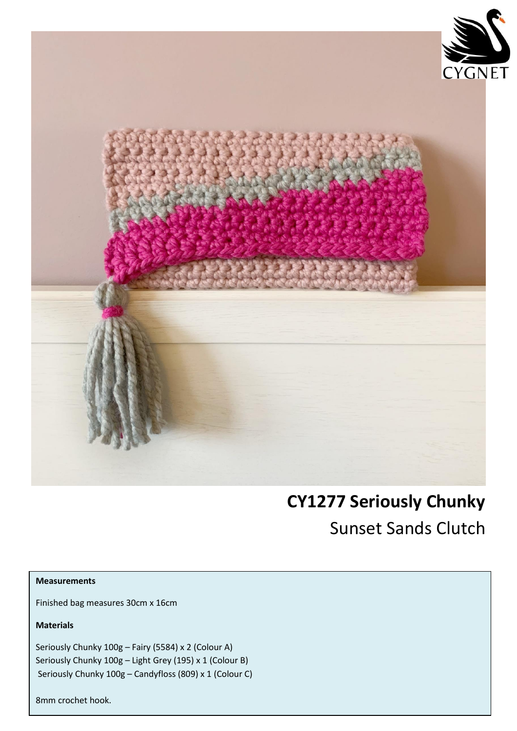

## **CY1277 Seriously Chunky** Sunset Sands Clutch

## **Measurements**

Finished bag measures 30cm x 16cm

**Materials**

Seriously Chunky 100g – Fairy (5584) x 2 (Colour A) Seriously Chunky 100g – Light Grey (195) x 1 (Colour B) Seriously Chunky 100g – Candyfloss (809) x 1 (Colour C)

8mm crochet hook.